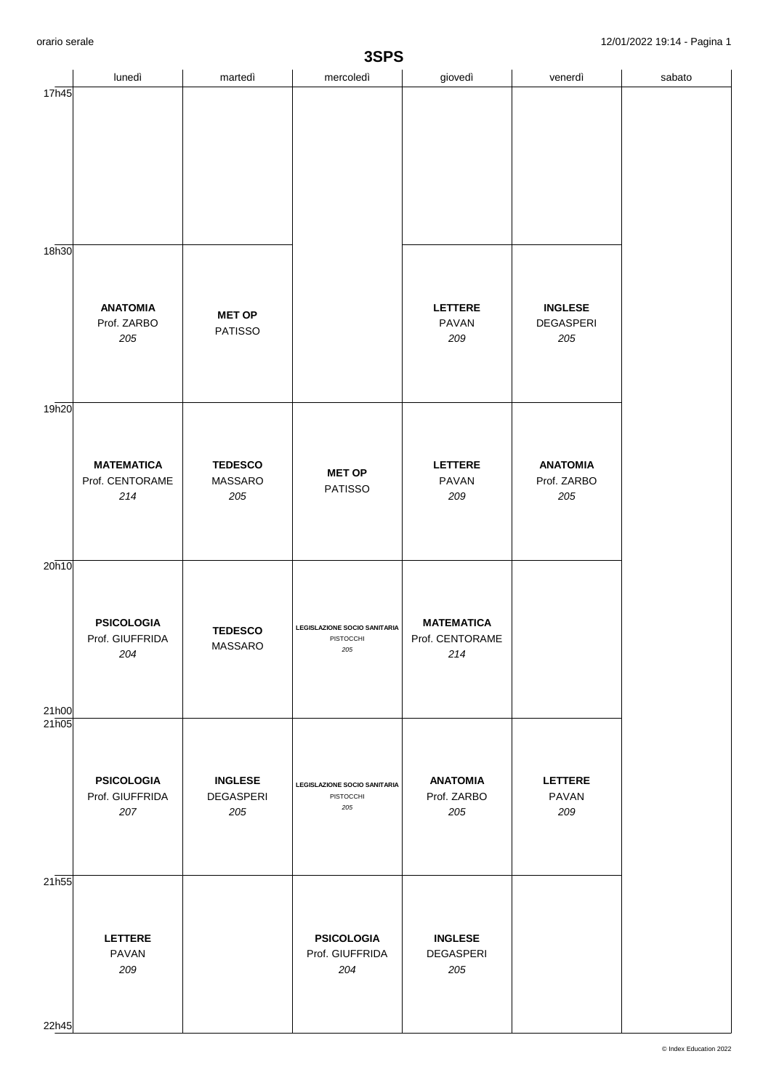| 3SPS           |                                             |                                    |                                                  |                                             |                                           |        |  |  |
|----------------|---------------------------------------------|------------------------------------|--------------------------------------------------|---------------------------------------------|-------------------------------------------|--------|--|--|
|                | lunedì                                      | martedì                            | mercoledì                                        | giovedì                                     | venerdì                                   | sabato |  |  |
| 17h45<br>18h30 |                                             |                                    |                                                  |                                             |                                           |        |  |  |
|                | <b>ANATOMIA</b><br>Prof. ZARBO<br>205       | <b>MET OP</b><br><b>PATISSO</b>    |                                                  | LETTERE<br>PAVAN<br>209                     | <b>INGLESE</b><br><b>DEGASPERI</b><br>205 |        |  |  |
| 19h20          |                                             |                                    |                                                  |                                             |                                           |        |  |  |
|                | <b>MATEMATICA</b><br>Prof. CENTORAME<br>214 | <b>TEDESCO</b><br>MASSARO<br>205   | <b>MET OP</b><br><b>PATISSO</b>                  | <b>LETTERE</b><br><b>PAVAN</b><br>209       | <b>ANATOMIA</b><br>Prof. ZARBO<br>205     |        |  |  |
| 20h10<br>21h00 | <b>PSICOLOGIA</b><br>Prof. GIUFFRIDA<br>204 | <b>TEDESCO</b><br>MASSARO          | LEGISLAZIONE SOCIO SANITARIA<br>PISTOCCHI<br>205 | <b>MATEMATICA</b><br>Prof. CENTORAME<br>214 |                                           |        |  |  |
| 21h05          |                                             |                                    |                                                  |                                             |                                           |        |  |  |
|                | <b>PSICOLOGIA</b><br>Prof. GIUFFRIDA<br>207 | <b>INGLESE</b><br>DEGASPERI<br>205 | LEGISLAZIONE SOCIO SANITARIA<br>PISTOCCHI<br>205 | <b>ANATOMIA</b><br>Prof. ZARBO<br>205       | <b>LETTERE</b><br>PAVAN<br>209            |        |  |  |
| 21h55<br>22h45 | <b>LETTERE</b><br>PAVAN<br>209              |                                    | <b>PSICOLOGIA</b><br>Prof. GIUFFRIDA<br>204      | <b>INGLESE</b><br>DEGASPERI<br>205          |                                           |        |  |  |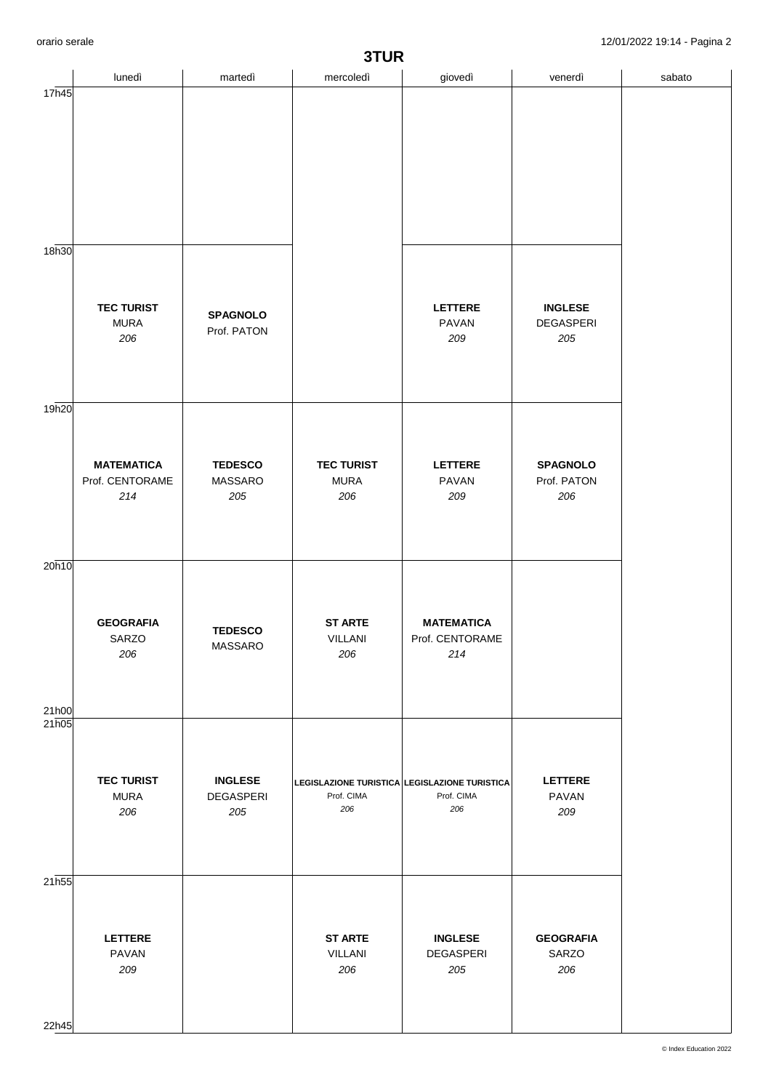| 3TUR           |                                             |                                           |                                                                    |                                             |                                           |        |  |  |
|----------------|---------------------------------------------|-------------------------------------------|--------------------------------------------------------------------|---------------------------------------------|-------------------------------------------|--------|--|--|
|                | lunedì                                      | martedì                                   | mercoledì                                                          | giovedì                                     | venerdì                                   | sabato |  |  |
| 17h45          |                                             |                                           |                                                                    |                                             |                                           |        |  |  |
| 18h30          |                                             |                                           |                                                                    |                                             |                                           |        |  |  |
|                | <b>TEC TURIST</b><br><b>MURA</b><br>206     | <b>SPAGNOLO</b><br>Prof. PATON            |                                                                    | <b>LETTERE</b><br><b>PAVAN</b><br>209       | <b>INGLESE</b><br><b>DEGASPERI</b><br>205 |        |  |  |
| 19h20          |                                             |                                           |                                                                    |                                             |                                           |        |  |  |
|                | <b>MATEMATICA</b><br>Prof. CENTORAME<br>214 | <b>TEDESCO</b><br>MASSARO<br>205          | <b>TEC TURIST</b><br><b>MURA</b><br>206                            | <b>LETTERE</b><br><b>PAVAN</b><br>209       | <b>SPAGNOLO</b><br>Prof. PATON<br>206     |        |  |  |
| 20h10<br>21h00 | <b>GEOGRAFIA</b><br>SARZO<br>206            | <b>TEDESCO</b><br>MASSARO                 | <b>ST ARTE</b><br>VILLANI<br>206                                   | <b>MATEMATICA</b><br>Prof. CENTORAME<br>214 |                                           |        |  |  |
| 21h05          |                                             |                                           |                                                                    |                                             |                                           |        |  |  |
|                | <b>TEC TURIST</b><br><b>MURA</b><br>206     | <b>INGLESE</b><br><b>DEGASPERI</b><br>205 | LEGISLAZIONE TURISTICA LEGISLAZIONE TURISTICA<br>Prof. CIMA<br>206 | Prof. CIMA<br>206                           | <b>LETTERE</b><br>PAVAN<br>209            |        |  |  |
| 21h55<br>22h45 | <b>LETTERE</b><br>PAVAN<br>209              |                                           | <b>ST ARTE</b><br><b>VILLANI</b><br>206                            | <b>INGLESE</b><br>DEGASPERI<br>205          | <b>GEOGRAFIA</b><br>SARZO<br>206          |        |  |  |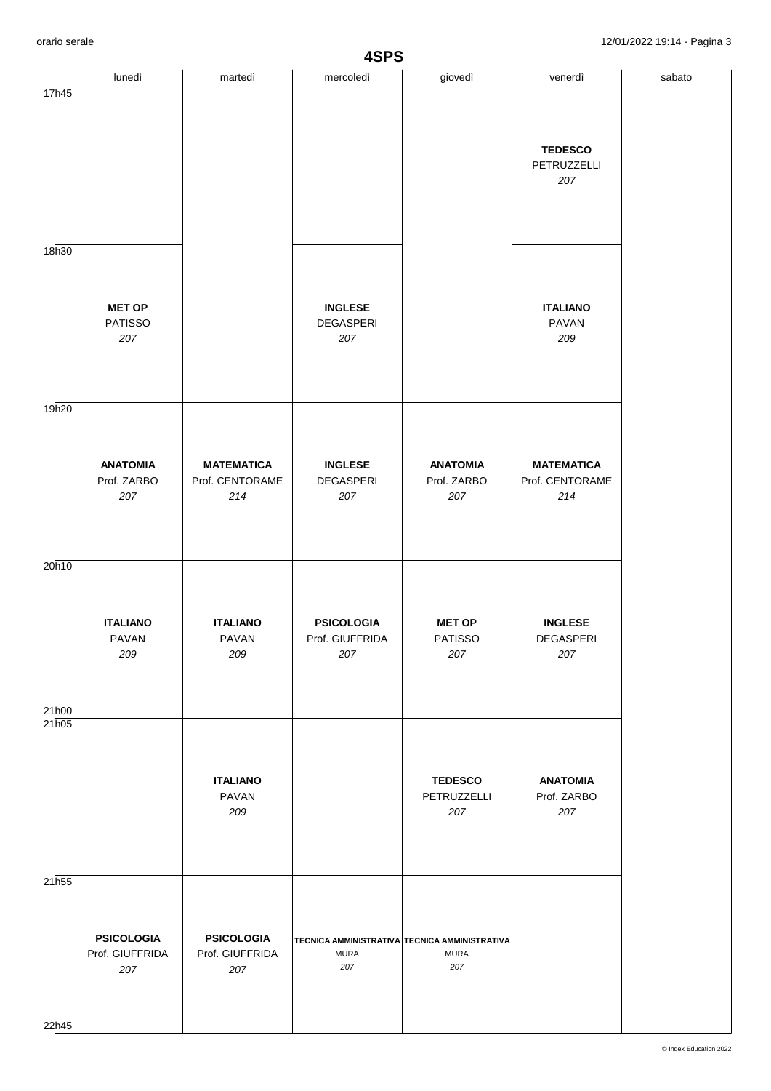| 4SPS              |                                             |                                             |                                             |                                                                     |                                             |        |  |
|-------------------|---------------------------------------------|---------------------------------------------|---------------------------------------------|---------------------------------------------------------------------|---------------------------------------------|--------|--|
|                   | lunedì                                      | martedì                                     | mercoledì                                   | giovedì                                                             | venerdì                                     | sabato |  |
| 17h45             |                                             |                                             |                                             |                                                                     | <b>TEDESCO</b><br>PETRUZZELLI<br>207        |        |  |
| 18h30             | <b>MET OP</b><br><b>PATISSO</b><br>207      |                                             | <b>INGLESE</b><br>DEGASPERI<br>207          |                                                                     | <b>ITALIANO</b><br>PAVAN<br>209             |        |  |
| 19 <sub>h20</sub> | <b>ANATOMIA</b><br>Prof. ZARBO<br>207       | <b>MATEMATICA</b><br>Prof. CENTORAME<br>214 | <b>INGLESE</b><br><b>DEGASPERI</b><br>207   | <b>ANATOMIA</b><br>Prof. ZARBO<br>207                               | <b>MATEMATICA</b><br>Prof. CENTORAME<br>214 |        |  |
| 20h10<br>21h00    | <b>ITALIANO</b><br><b>PAVAN</b><br>209      | <b>ITALIANO</b><br>PAVAN<br>209             | <b>PSICOLOGIA</b><br>Prof. GIUFFRIDA<br>207 | <b>MET OP</b><br><b>PATISSO</b><br>207                              | <b>INGLESE</b><br>DEGASPERI<br>207          |        |  |
| 21h05             |                                             | <b>ITALIANO</b><br>PAVAN<br>209             |                                             | <b>TEDESCO</b><br>PETRUZZELLI<br>207                                | <b>ANATOMIA</b><br>Prof. ZARBO<br>207       |        |  |
| 21h55<br>22h45    | <b>PSICOLOGIA</b><br>Prof. GIUFFRIDA<br>207 | <b>PSICOLOGIA</b><br>Prof. GIUFFRIDA<br>207 | <b>MURA</b><br>207                          | TECNICA AMMINISTRATIVA TECNICA AMMINISTRATIVA<br><b>MURA</b><br>207 |                                             |        |  |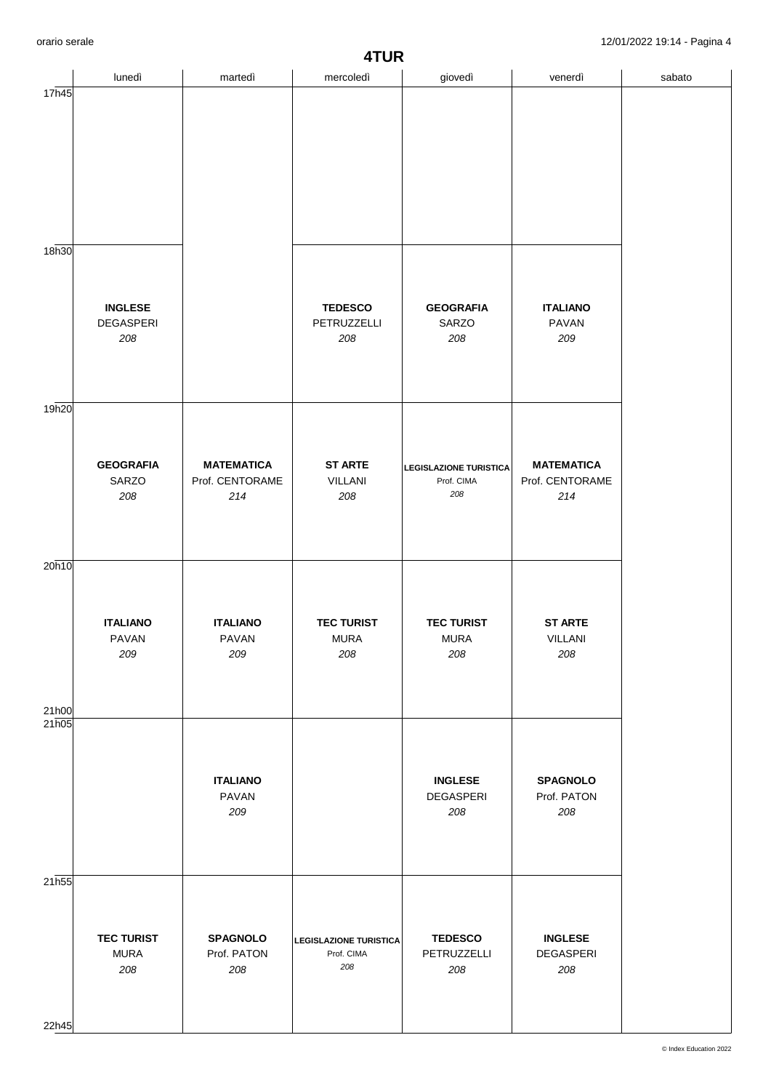| 4TUR           |                                           |                                             |                                                    |                                                    |                                             |        |  |
|----------------|-------------------------------------------|---------------------------------------------|----------------------------------------------------|----------------------------------------------------|---------------------------------------------|--------|--|
|                | lunedì                                    | martedì                                     | mercoledì                                          | giovedì                                            | venerdì                                     | sabato |  |
| 17h45          |                                           |                                             |                                                    |                                                    |                                             |        |  |
| 18h30          |                                           |                                             |                                                    |                                                    |                                             |        |  |
|                | <b>INGLESE</b><br><b>DEGASPERI</b><br>208 |                                             | <b>TEDESCO</b><br>PETRUZZELLI<br>208               | <b>GEOGRAFIA</b><br>SARZO<br>208                   | <b>ITALIANO</b><br><b>PAVAN</b><br>209      |        |  |
| 19h20          |                                           |                                             |                                                    |                                                    |                                             |        |  |
|                | <b>GEOGRAFIA</b><br>SARZO<br>208          | <b>MATEMATICA</b><br>Prof. CENTORAME<br>214 | <b>ST ARTE</b><br><b>VILLANI</b><br>208            | <b>LEGISLAZIONE TURISTICA</b><br>Prof. CIMA<br>208 | <b>MATEMATICA</b><br>Prof. CENTORAME<br>214 |        |  |
| 20h10<br>21h00 | <b>ITALIANO</b><br>PAVAN<br>209           | <b>ITALIANO</b><br>PAVAN<br>209             | <b>TEC TURIST</b><br><b>MURA</b><br>208            | <b>TEC TURIST</b><br><b>MURA</b><br>208            | <b>ST ARTE</b><br>VILLANI<br>208            |        |  |
| 21h05          |                                           |                                             |                                                    |                                                    |                                             |        |  |
|                |                                           | <b>ITALIANO</b><br>PAVAN<br>209             |                                                    | <b>INGLESE</b><br>DEGASPERI<br>208                 | <b>SPAGNOLO</b><br>Prof. PATON<br>208       |        |  |
| 21h55<br>22h45 | <b>TEC TURIST</b><br><b>MURA</b><br>208   | <b>SPAGNOLO</b><br>Prof. PATON<br>208       | <b>LEGISLAZIONE TURISTICA</b><br>Prof. CIMA<br>208 | <b>TEDESCO</b><br>PETRUZZELLI<br>208               | <b>INGLESE</b><br>DEGASPERI<br>208          |        |  |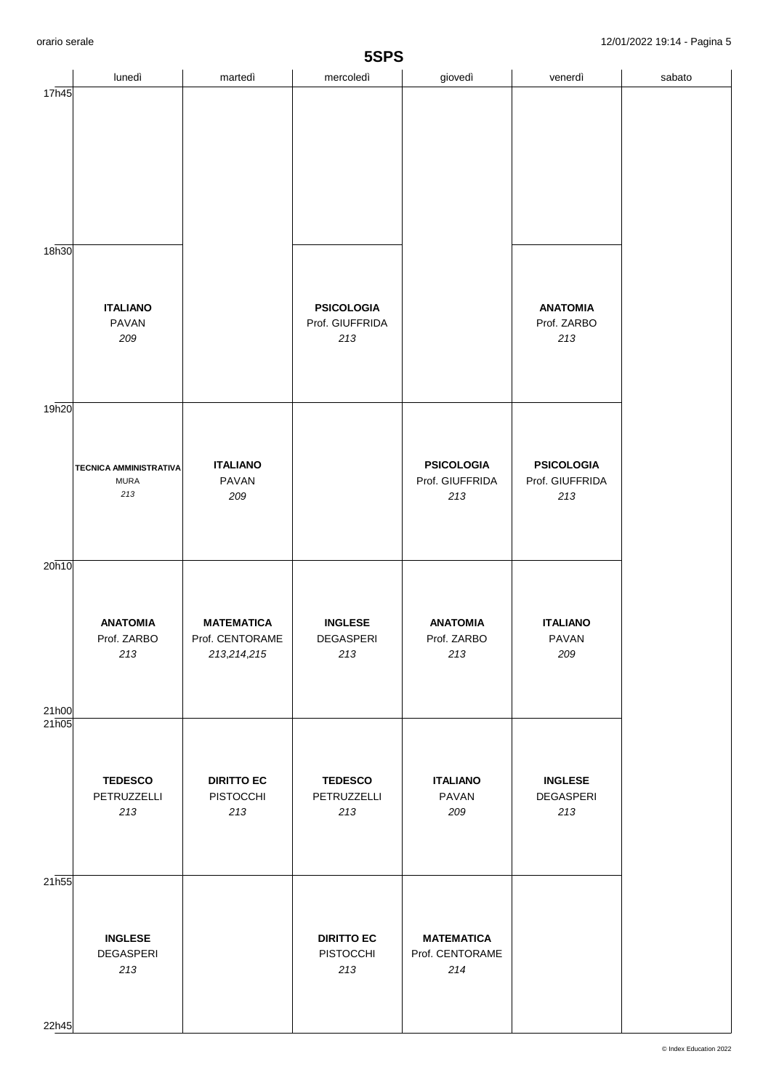| 5SPS              |                                                     |                                                       |                                             |                                             |                                             |        |  |
|-------------------|-----------------------------------------------------|-------------------------------------------------------|---------------------------------------------|---------------------------------------------|---------------------------------------------|--------|--|
|                   | lunedì                                              | martedì                                               | mercoledì                                   | giovedì                                     | venerdì                                     | sabato |  |
| 17h45<br>18h30    |                                                     |                                                       |                                             |                                             |                                             |        |  |
|                   | <b>ITALIANO</b><br><b>PAVAN</b><br>209              |                                                       | <b>PSICOLOGIA</b><br>Prof. GIUFFRIDA<br>213 |                                             | <b>ANATOMIA</b><br>Prof. ZARBO<br>213       |        |  |
| 19 <sub>h20</sub> |                                                     |                                                       |                                             |                                             |                                             |        |  |
|                   | <b>TECNICA AMMINISTRATIVA</b><br><b>MURA</b><br>213 | <b>ITALIANO</b><br>PAVAN<br>209                       |                                             | <b>PSICOLOGIA</b><br>Prof. GIUFFRIDA<br>213 | <b>PSICOLOGIA</b><br>Prof. GIUFFRIDA<br>213 |        |  |
| 20h10<br>21h00    | <b>ANATOMIA</b><br>Prof. ZARBO<br>213               | <b>MATEMATICA</b><br>Prof. CENTORAME<br>213, 214, 215 | <b>INGLESE</b><br>DEGASPERI<br>213          | <b>ANATOMIA</b><br>Prof. ZARBO<br>213       | <b>ITALIANO</b><br>PAVAN<br>209             |        |  |
| 21h05             |                                                     |                                                       |                                             |                                             |                                             |        |  |
|                   | <b>TEDESCO</b><br>PETRUZZELLI<br>213                | <b>DIRITTO EC</b><br>PISTOCCHI<br>213                 | <b>TEDESCO</b><br>PETRUZZELLI<br>213        | <b>ITALIANO</b><br>PAVAN<br>209             | <b>INGLESE</b><br>DEGASPERI<br>213          |        |  |
| 21h55<br>22h45    | <b>INGLESE</b><br><b>DEGASPERI</b><br>213           |                                                       | <b>DIRITTO EC</b><br>PISTOCCHI<br>213       | <b>MATEMATICA</b><br>Prof. CENTORAME<br>214 |                                             |        |  |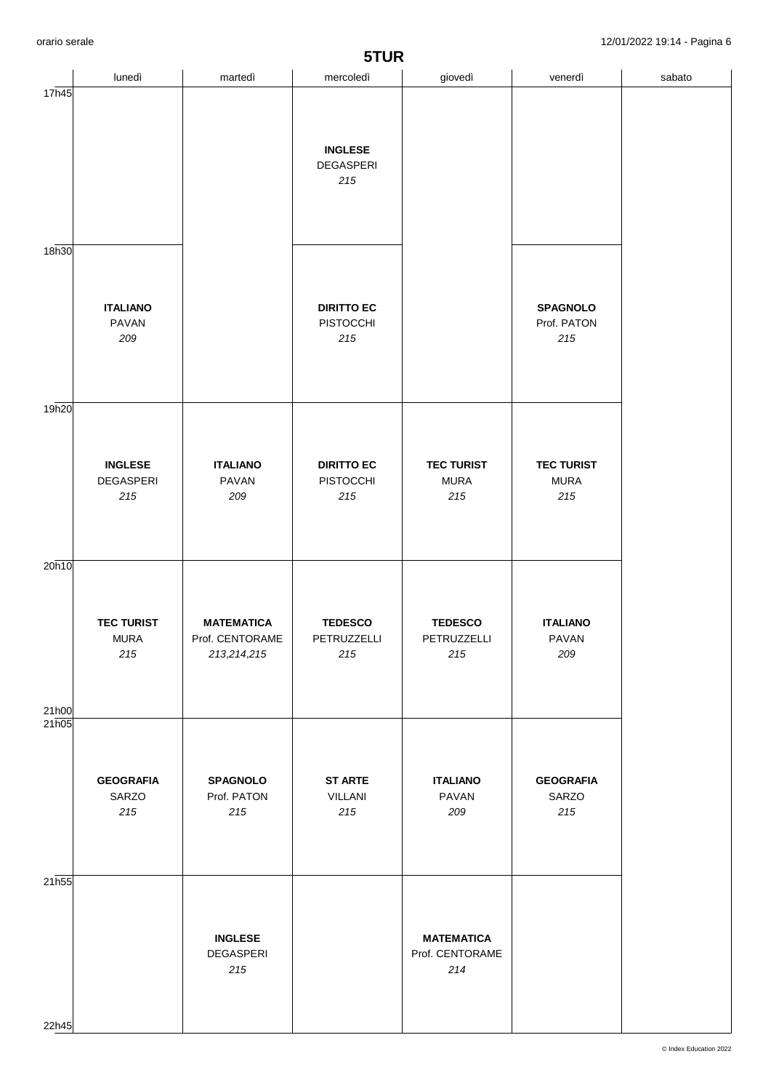| 5TUR              |                                           |                                                       |                                                  |                                             |                                         |        |  |
|-------------------|-------------------------------------------|-------------------------------------------------------|--------------------------------------------------|---------------------------------------------|-----------------------------------------|--------|--|
|                   | lunedì                                    | martedì                                               | mercoledì                                        | giovedì                                     | venerdì                                 | sabato |  |
| 17h45             |                                           |                                                       | <b>INGLESE</b><br>DEGASPERI<br>215               |                                             |                                         |        |  |
| 18h30             | <b>ITALIANO</b><br><b>PAVAN</b><br>209    |                                                       | <b>DIRITTO EC</b><br><b>PISTOCCHI</b><br>215     |                                             | <b>SPAGNOLO</b><br>Prof. PATON<br>215   |        |  |
| 19 <sub>h20</sub> | <b>INGLESE</b><br><b>DEGASPERI</b><br>215 | <b>ITALIANO</b><br>PAVAN<br>209                       | <b>DIRITTO EC</b><br><b>PISTOCCHI</b><br>$215\,$ | <b>TEC TURIST</b><br><b>MURA</b><br>$215$   | <b>TEC TURIST</b><br><b>MURA</b><br>215 |        |  |
| 20h10<br>21h00    | <b>TEC TURIST</b><br><b>MURA</b><br>215   | <b>MATEMATICA</b><br>Prof. CENTORAME<br>213, 214, 215 | <b>TEDESCO</b><br>PETRUZZELLI<br>215             | <b>TEDESCO</b><br>PETRUZZELLI<br>215        | <b>ITALIANO</b><br>PAVAN<br>209         |        |  |
| 21h05             | <b>GEOGRAFIA</b><br>SARZO<br>215          | <b>SPAGNOLO</b><br>Prof. PATON<br>215                 | <b>ST ARTE</b><br>VILLANI<br>$215\,$             | <b>ITALIANO</b><br>PAVAN<br>209             | <b>GEOGRAFIA</b><br>SARZO<br>215        |        |  |
| 21h55<br>22h45    |                                           | <b>INGLESE</b><br><b>DEGASPERI</b><br>$215$           |                                                  | <b>MATEMATICA</b><br>Prof. CENTORAME<br>214 |                                         |        |  |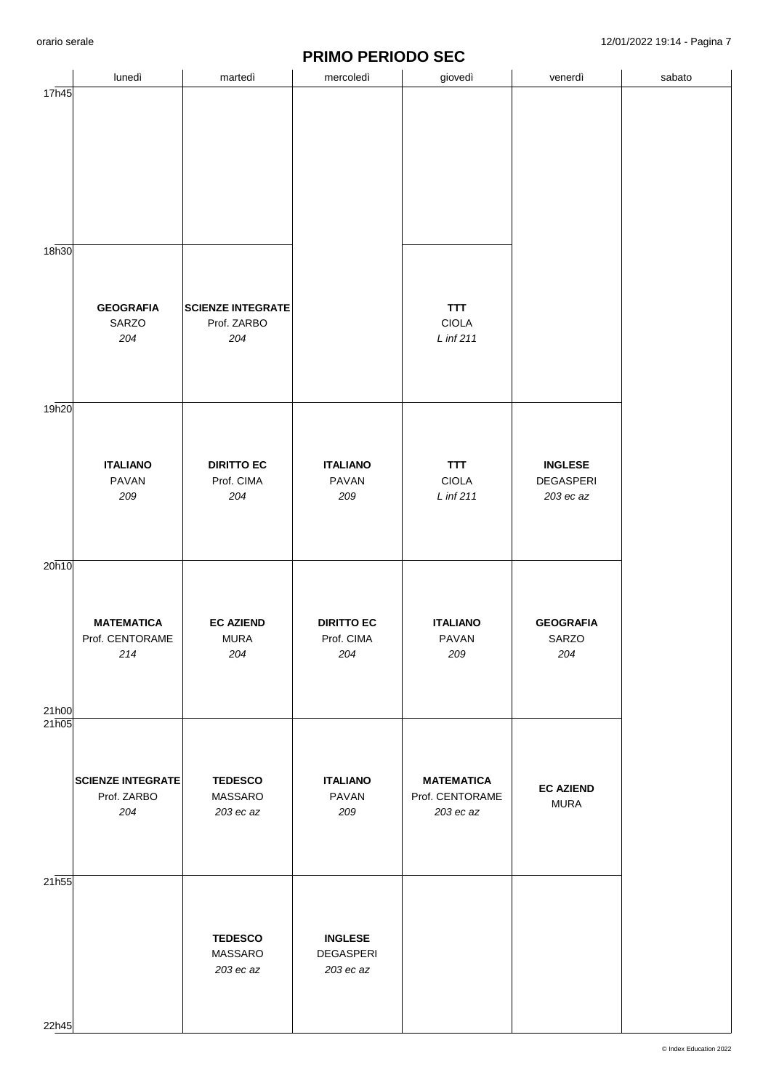## **PRIMO PERIODO SEC**

|                |                                                |                                                | <b>T INIMA LEINADA AFA</b>               |                                                   |                                                 |        |
|----------------|------------------------------------------------|------------------------------------------------|------------------------------------------|---------------------------------------------------|-------------------------------------------------|--------|
|                | lunedì                                         | martedì                                        | mercoledì                                | giovedì                                           | venerdì                                         | sabato |
| 17h45          |                                                |                                                |                                          |                                                   |                                                 |        |
|                |                                                |                                                |                                          |                                                   |                                                 |        |
| 18h30          |                                                |                                                |                                          |                                                   |                                                 |        |
|                | <b>GEOGRAFIA</b><br>SARZO<br>204               | <b>SCIENZE INTEGRATE</b><br>Prof. ZARBO<br>204 |                                          | TTT<br><b>CIOLA</b><br>L inf 211                  |                                                 |        |
| 19h20          |                                                |                                                |                                          |                                                   |                                                 |        |
|                | <b>ITALIANO</b><br>PAVAN<br>209                | <b>DIRITTO EC</b><br>Prof. CIMA<br>204         | <b>ITALIANO</b><br>PAVAN<br>209          | TTT<br>CIOLA<br>$L$ inf 211                       | <b>INGLESE</b><br><b>DEGASPERI</b><br>203 ec az |        |
| 20h10          |                                                |                                                |                                          |                                                   |                                                 |        |
| 21h00          | <b>MATEMATICA</b><br>Prof. CENTORAME<br>214    | <b>EC AZIEND</b><br><b>MURA</b><br>204         | <b>DIRITTO EC</b><br>Prof. CIMA<br>204   | <b>ITALIANO</b><br>PAVAN<br>209                   | <b>GEOGRAFIA</b><br>SARZO<br>204                |        |
| 21h05          |                                                |                                                |                                          |                                                   |                                                 |        |
|                | <b>SCIENZE INTEGRATE</b><br>Prof. ZARBO<br>204 | <b>TEDESCO</b><br>MASSARO<br>203 ec az         | <b>ITALIANO</b><br>PAVAN<br>209          | <b>MATEMATICA</b><br>Prof. CENTORAME<br>203 ec az | <b>EC AZIEND</b><br><b>MURA</b>                 |        |
| 21h55<br>22h45 |                                                | <b>TEDESCO</b><br>MASSARO<br>203 ec az         | <b>INGLESE</b><br>DEGASPERI<br>203 ec az |                                                   |                                                 |        |